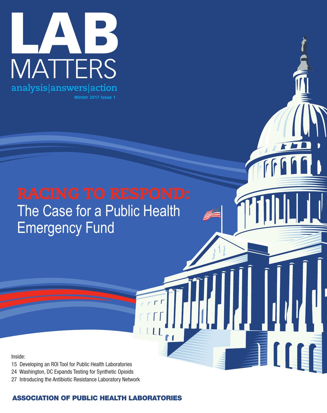

# The Case for a Public Health Emergency Fund

 $\Gamma$ 

Inside:

- 15 Developing an ROI Tool for Public Health Laboratories
- 24 Washington, DC Expands Testing for Synthetic Opioids
- 27 Introducing the Antibiotic Resistance Laboratory Network

# **ASSOCIATION OF PUBLIC HEALTH LABORATORIES**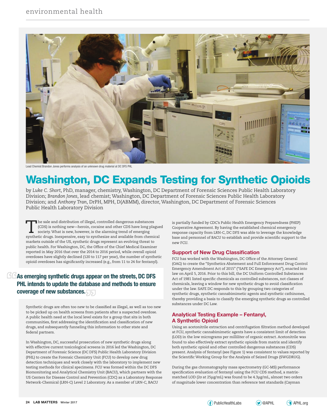

Lead Chemist Brandon Jones performs analysis of an unknown drug material at DC DFS PHL

# **Washington, DC Expands Testing for Synthetic Opioids**

by *Luke C. Short*, PhD, manager, chemistry, Washington, DC Department of Forensic Sciences Public Health Laboratory Division; *Brandon Jones*, lead chemist; Washington, DC Department of Forensic Sciences Public Health Laboratory Division; and *Anthony Tran*, DrPH, MPH, D(ABMM), director, Washington, DC Department of Forensic Sciences Public Health Laboratory Division

The sale and distribution of illegal, controlled dangerous substances<br>
(CDS) is nothing new—heroin, cocaine and other CDS have long pla<br>
society. What is new, however, is the alarming trend of emerging<br>
synthetic drugs Ine (CDS) is nothing new—heroin, cocaine and other CDS have long plagued synthetic drugs. Inexpensive, easy to synthesize and available from chemical markets outside of the US, synthetic drugs represent an evolving threat to public health. For Washington, DC, the Office of the Chief Medical Examiner reported in May 2016 that over the 2014 to 2016 period, while overall opioid overdoses have slightly declined (120 to 117 per year), the number of synthetic opioid overdoses has significantly increased (e.g., from 11 to 24 for fentanyl).

## **As emerging synthetic drugs appear on the streets, DC DFS PHL intends to update the database and methods to ensure coverage of new substances.**

Synthetic drugs are often too new to be classified as illegal, as well as too new to be picked up on health screens from patients after a suspected overdose. A public health need at the local level exists for a group that sits in both communities, first addressing the identification and classification of new drugs, and subsequently funneling this information to other state and federal partners.

In Washington, DC, successful prosecution of new synthetic drugs along with effective current toxicological screens in 2016 led the Washington, DC Department of Forensic Science (DC DFS) Public Health Laboratory Division (PHL) to create the Forensic Chemistry Unit (FCU) to develop new drug detection techniques and work closely with the laboratory to implement new testing methods for clinical specimens. FCU was formed within the DC DFS Biomonitoring and Analytical Chemistry Unit (BACU), which partners with the US Centers for Disease Control and Prevention (CDC) as a Laboratory Response Network-Chemical (LRN-C) Level 2 Laboratory. As a member of LRN-C, BACU

is partially funded by CDC's Public Health Emergency Preparedness (PHEP) Cooperative Agreement. By having the established chemical emergency response capacity from LRN-C, DC DFS was able to leverage the knowledge base and personnel of BACU to establish and provide scientific support to the new FCU.

#### **Support of New Drug Classification**

FCU has worked with the Washington, DC Office of the Attorney General (OAG) to create the "Synthetics Abatement and Full Enforcement Drug Control Emergency Amendment Act of 2015" ("SAFE DC Emergency Act"), enacted into law on April 5, 2016. Prior to this bill, the DC Uniform Controlled Substances Act of 1981 listed specific chemicals as controlled substances, not classes of chemicals, leaving a window for new synthetic drugs to avoid classification under the law. SAFE DC responds to this by grouping two categories of synthetic drugs, synthetic cannabimimetic agents and synthetic cathinones, thereby providing a basis to classify the emerging synthetic drugs as controlled substances under DC Law.

#### **Analytical Testing Example – Fentanyl, A Synthetic Opioid**

Using an acetonitrile extraction and centrifugation filtration method developed at FCU, synthetic cannabimimetic agents have a consistent limit of detection (LOD) in the low micrograms per milliliter of organic extract. Acetonitrile was found to also effectively extract synthetic opioids from matrix and identify both synthetic opioid and other controlled dangerous substances (CDS) present. Analysis of fentanyl (see Figure 1) was consistent to values reported by the Scientific Working Group for the Analysis of Seized Drugs (SWGDRUG).

During the gas chromatography mass spectrometry (GC-MS) performance specification evaluation of fentanyl using the FCU CDS method, a matrixmatched LOD (20 at 25μg/mL) was found to be 4.3μg/mL, almost two orders of magnitude lower concentration than reference test standards (Cayman